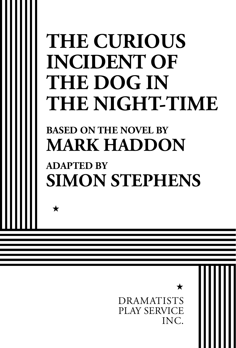# **THE CURIOUS INCIDENT OF THE DOG IN THE NIGHT-TIME**

# **BASED ON THE NOVEL BY MARK HADDON**

 $\bigstar$ 

# **ADAPTED BY SIMON STEPHENS**

DRAMATISTS PLAY SERVICE INC.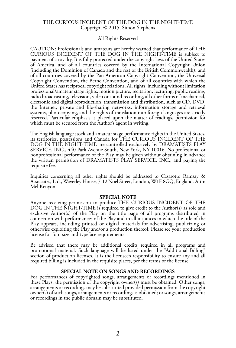#### THE CURIOUS INCIDENT OF THE DOG IN THE NIGHT-TIME Copyright © 2015, Simon Stephens

#### All Rights Reserved

CAUTION: Professionals and amateurs are hereby warned that performance of THE CURIOUS INCIDENT OF THE DOG IN THE NIGHT-TIME is subject to payment of a royalty. It is fully protected under the copyright laws of the United States of America, and of all countries covered by the International Copyright Union (including the Dominion of Canada and the rest of the British Commonwealth), and of all countries covered by the Pan-American Copyright Convention, the Universal Copyright Convention, the Berne Convention, and of all countries with which the United States has reciprocal copyright relations. All rights, including without limitation professional/amateur stage rights, motion picture, recitation, lecturing, public reading, radio broadcasting, television, video or sound recording, all other forms of mechanical, electronic and digital reproduction, transmission and distribution, such as CD, DVD, the Internet, private and file-sharing networks, information storage and retrieval systems, photocopying, and the rights of translation into foreign languages are strictly reserved. Particular emphasis is placed upon the matter of readings, permission for which must be secured from the Author's agent in writing.

The English language stock and amateur stage performance rights in the United States, its territories, possessions and Canada for THE CURIOUS INCIDENT OF THE DOG IN THE NIGHT-TIME are controlled exclusively by DRAMATISTS PLAY SERVICE, INC., 440 Park Avenue South, New York, NY 10016. No professional or nonprofessional performance of the Play may be given without obtaining in advance the written permission of DRAMATISTS PLAY SERVICE, INC., and paying the requisite fee.

Inquiries concerning all other rights should be addressed to Casarotto Ramsay & Associates, Ltd., Waverley House, 7-12 Noel Street, London, W1F 8GQ, England. Attn: Mel Kenyon.

#### **SPECIAL NOTE**

Anyone receiving permission to produce THE CURIOUS INCIDENT OF THE  $D\overline{O}G$  IN THE NIGHT-TIME is required to give credit to the Author(s) as sole and exclusive Author(s) of the Play on the title page of all programs distributed in connection with performances of the Play and in all instances in which the title of the Play appears, including printed or digital materials for advertising, publicizing or otherwise exploiting the Play and/or a production thereof. Please see your production license for font size and typeface requirements.

Be advised that there may be additional credits required in all programs and promotional material. Such language will be listed under the "Additional Billing" section of production licenses. It is the licensee's responsibility to ensure any and all required billing is included in the requisite places, per the terms of the license.

#### **SPECIAL NOTE ON SONGS AND RECORDINGS**

For performances of copyrighted songs, arrangements or recordings mentioned in these Plays, the permission of the copyright owner(s) must be obtained. Other songs, arrangements or recordings may be substituted provided permission from the copyright owner(s) of such songs, arrangements or recordings is obtained; or songs, arrangements or recordings in the public domain may be substituted.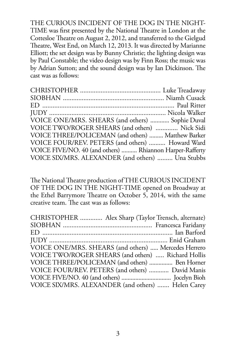THE CURIOUS INCIDENT OF THE DOG IN THE NIGHT-TIME was first presented by the National Theatre in London at the Cottesloe Theatre on August 2, 2012, and transferred to the Gielgud Theatre, West End, on March 12, 2013. It was directed by Marianne Elliott; the set design was by Bunny Christie; the lighting design was by Paul Constable; the video design was by Finn Ross; the music was by Adrian Sutton; and the sound design was by Ian Dickinson. The cast was as follows:

| VOICE ONE/MRS. SHEARS (and others)  Sophie Duval         |  |
|----------------------------------------------------------|--|
| VOICE TWO/ROGER SHEARS (and others)  Nick Sidi           |  |
| VOICE THREE/POLICEMAN (and others)  Matthew Barker       |  |
| VOICE FOUR/REV. PETERS (and others)  Howard Ward         |  |
| VOICE FIVE/NO. 40 (and others)  Rhiannon Harper-Rafferty |  |
| VOICE SIX/MRS. ALEXANDER (and others)  Una Stubbs        |  |

The National Theatre production of THE CURIOUS INCIDENT OF THE DOG IN THE NIGHT-TIME opened on Broadway at the Ethel Barrymore Theatre on October 5, 2014, with the same creative team. The cast was as follows:

| CHRISTOPHER  Alex Sharp (Taylor Trensch, alternate)  |
|------------------------------------------------------|
|                                                      |
|                                                      |
|                                                      |
| VOICE ONE/MRS. SHEARS (and others)  Mercedes Herrero |
| VOICE TWO/ROGER SHEARS (and others)  Richard Hollis  |
| VOICE THREE/POLICEMAN (and others)  Ben Horner       |
| VOICE FOUR/REV. PETERS (and others)  David Manis     |
|                                                      |
| VOICE SIX/MRS. ALEXANDER (and others)  Helen Carey   |
|                                                      |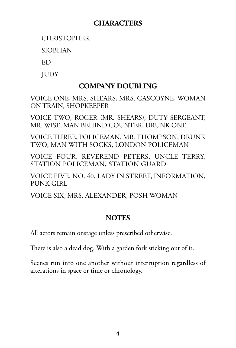### **CHARACTERS**

**CHRISTOPHER** 

**SIORHAN** 

Ed

**JUDY** 

### **COMPANY DOUBLING**

VOICE ONE, MRS. SHEARS, MRS. GASCOYNE, WOMAN ON TRAIN, SHOPKEEPER

VOICE TWO, Roger (Mr. Shears), Duty Sergeant, Mr. Wise, Man Behind Counter, Drunk ONE

VOICE THREE, Policeman, Mr. Thompson, Drunk two, Man With Socks, London Policeman

Voice FOUR, Reverend Peters, Uncle Terry, STATION POLICEMAN, STATION GUARD

voice five, no. 40, Lady in Street, Information, PUNK GIRL

Voice SIX, Mrs. Alexander, Posh WomaN

### **NOTES**

All actors remain onstage unless prescribed otherwise.

There is also a dead dog. With a garden fork sticking out of it.

Scenes run into one another without interruption regardless of alterations in space or time or chronology.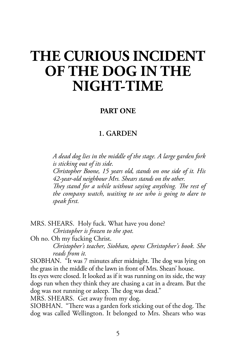## **THE CURIOUS INCIDENT OF THE DOG IN THE NIGHT-TIME**

#### **PART ONE**

### **1. GARDEN**

*A dead dog lies in the middle of the stage. A large garden fork is sticking out of its side.*

*Christopher Boone, 15 years old, stands on one side of it. His 42-year-old neighbour Mrs. Shears stands on the other.*

*They stand for a while without saying anything. The rest of the company watch, waiting to see who is going to dare to speak first.*

MRS. SHEARS. Holy fuck. What have you done? *Christopher is frozen to the spot.* 

Oh no. Oh my fucking Christ.

*Christopher's teacher, Siobhan, opens Christopher's book. She reads from it.*

SIOBHAN. "It was 7 minutes after midnight. The dog was lying on the grass in the middle of the lawn in front of Mrs. Shears' house.

Its eyes were closed. It looked as if it was running on its side, the way dogs run when they think they are chasing a cat in a dream. But the dog was not running or asleep. The dog was dead."

MRS. SHEARS. Get away from my dog.

SIOBHAN. "There was a garden fork sticking out of the dog. The dog was called Wellington. It belonged to Mrs. Shears who was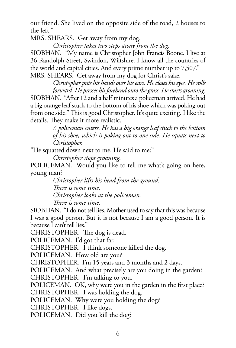our friend. She lived on the opposite side of the road, 2 houses to the left."

MRS. SHEARS. Get away from my dog.

*Christopher takes two steps away from the dog.*

SIOBHAN. "My name is Christopher John Francis Boone. I live at 36 Randolph Street, Swindon, Wiltshire. I know all the countries of the world and capital cities. And every prime number up to 7,507." MRS. SHEARS. Get away from my dog for Christ's sake.

*Christopher puts his hands over his ears. He closes his eyes. He rolls forward. He presses his forehead onto the grass. He starts groaning.*

SIOBHAN. "After 12 and a half minutes a policeman arrived. He had a big orange leaf stuck to the bottom of his shoe which was poking out from one side." This is good Christopher. It's quite exciting. I like the details. They make it more realistic.

> *A policeman enters. He has a big orange leaf stuck to the bottom of his shoe, which is poking out to one side. He squats next to Christopher.*

"He squatted down next to me. He said to me:"

*Christopher stops groaning.*

POLICEMAN. Would you like to tell me what's going on here, young man?

> *Christopher lifts his head from the ground. There is some time. Christopher looks at the policeman. There is some time.*

SIOBHAN. "I do not tell lies. Mother used to say that this was because I was a good person. But it is not because I am a good person. It is because I can't tell lies."

CHRISTOPHER. The dog is dead.

POLICEMAN. I'd got that far.

CHRISTOPHER. I think someone killed the dog.

POLICEMAN. How old are you?

CHRISTOPHER. I'm 15 years and 3 months and 2 days.

POLICEMAN. And what precisely are you doing in the garden? CHRISTOPHER. I'm talking to you.

POLICEMAN. OK, why were you in the garden in the first place? CHRISTOPHER. I was holding the dog.

POLICEMAN. Why were you holding the dog?

CHRISTOPHER. I like dogs.

POLICEMAN. Did you kill the dog?